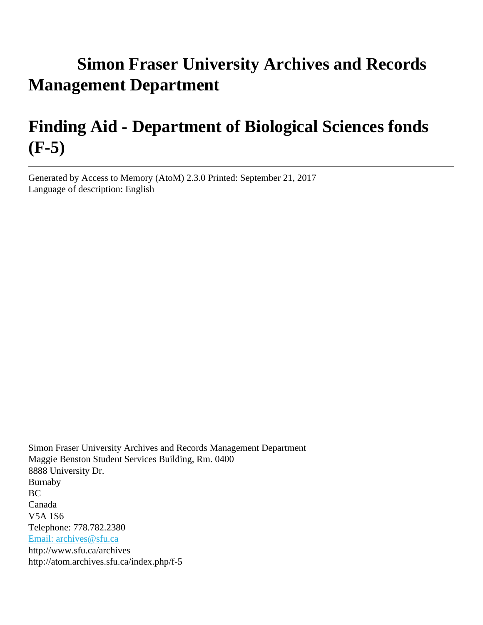# **Simon Fraser University Archives and Records Management Department**

# **Finding Aid - Department of Biological Sciences fonds (F-5)**

Generated by Access to Memory (AtoM) 2.3.0 Printed: September 21, 2017 Language of description: English

Simon Fraser University Archives and Records Management Department Maggie Benston Student Services Building, Rm. 0400 8888 University Dr. Burnaby BC Canada V5A 1S6 Telephone: 778.782.2380 [Email: archives@sfu.ca](mailto:Email: archives@sfu.ca) http://www.sfu.ca/archives http://atom.archives.sfu.ca/index.php/f-5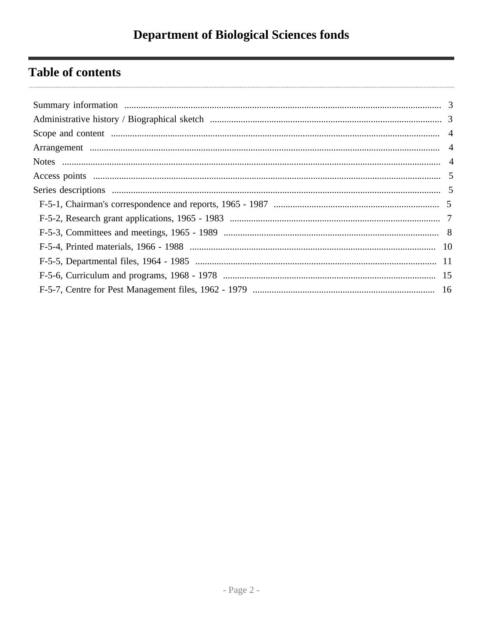## **Table of contents**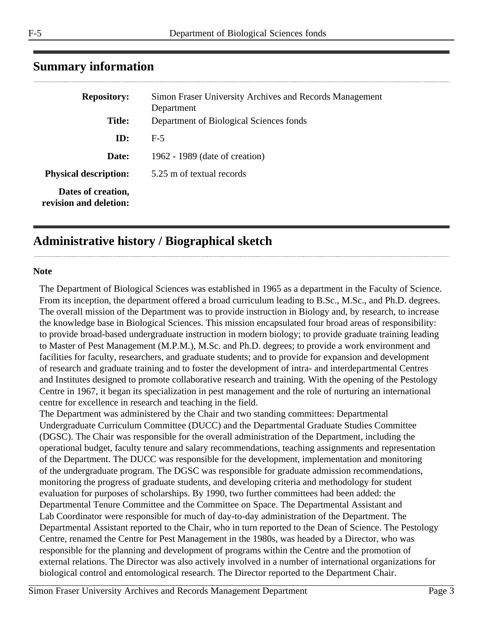| <b>Repository:</b>                           | Simon Fraser University Archives and Records Management<br>Department |
|----------------------------------------------|-----------------------------------------------------------------------|
| Title:                                       | Department of Biological Sciences fonds                               |
| ID:                                          | $F-5$                                                                 |
| Date:                                        | 1962 - 1989 (date of creation)                                        |
| <b>Physical description:</b>                 | 5.25 m of textual records                                             |
| Dates of creation,<br>revision and deletion: |                                                                       |

### <span id="page-2-0"></span>**Summary information**

### <span id="page-2-1"></span>**Administrative history / Biographical sketch**

#### **Note**

The Department of Biological Sciences was established in 1965 as a department in the Faculty of Science. From its inception, the department offered a broad curriculum leading to B.Sc., M.Sc., and Ph.D. degrees. The overall mission of the Department was to provide instruction in Biology and, by research, to increase the knowledge base in Biological Sciences. This mission encapsulated four broad areas of responsibility: to provide broad-based undergraduate instruction in modern biology; to provide graduate training leading to Master of Pest Management (M.P.M.), M.Sc. and Ph.D. degrees; to provide a work environment and facilities for faculty, researchers, and graduate students; and to provide for expansion and development of research and graduate training and to foster the development of intra- and interdepartmental Centres and Institutes designed to promote collaborative research and training. With the opening of the Pestology Centre in 1967, it began its specialization in pest management and the role of nurturing an international centre for excellence in research and teaching in the field.

The Department was administered by the Chair and two standing committees: Departmental Undergraduate Curriculum Committee (DUCC) and the Departmental Graduate Studies Committee (DGSC). The Chair was responsible for the overall administration of the Department, including the operational budget, faculty tenure and salary recommendations, teaching assignments and representation of the Department. The DUCC was responsible for the development, implementation and monitoring of the undergraduate program. The DGSC was responsible for graduate admission recommendations, monitoring the progress of graduate students, and developing criteria and methodology for student evaluation for purposes of scholarships. By 1990, two further committees had been added: the Departmental Tenure Committee and the Committee on Space. The Departmental Assistant and Lab Coordinator were responsible for much of day-to-day administration of the Department. The Departmental Assistant reported to the Chair, who in turn reported to the Dean of Science. The Pestology Centre, renamed the Centre for Pest Management in the 1980s, was headed by a Director, who was responsible for the planning and development of programs within the Centre and the promotion of external relations. The Director was also actively involved in a number of international organizations for biological control and entomological research. The Director reported to the Department Chair.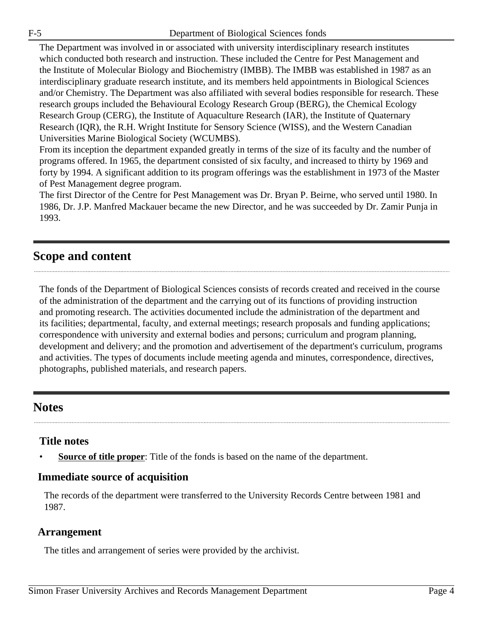The Department was involved in or associated with university interdisciplinary research institutes which conducted both research and instruction. These included the Centre for Pest Management and the Institute of Molecular Biology and Biochemistry (IMBB). The IMBB was established in 1987 as an interdisciplinary graduate research institute, and its members held appointments in Biological Sciences and/or Chemistry. The Department was also affiliated with several bodies responsible for research. These research groups included the Behavioural Ecology Research Group (BERG), the Chemical Ecology Research Group (CERG), the Institute of Aquaculture Research (IAR), the Institute of Quaternary Research (IQR), the R.H. Wright Institute for Sensory Science (WISS), and the Western Canadian Universities Marine Biological Society (WCUMBS).

From its inception the department expanded greatly in terms of the size of its faculty and the number of programs offered. In 1965, the department consisted of six faculty, and increased to thirty by 1969 and forty by 1994. A significant addition to its program offerings was the establishment in 1973 of the Master of Pest Management degree program.

The first Director of the Centre for Pest Management was Dr. Bryan P. Beirne, who served until 1980. In 1986, Dr. J.P. Manfred Mackauer became the new Director, and he was succeeded by Dr. Zamir Punja in 1993.

### <span id="page-3-0"></span>**Scope and content**

The fonds of the Department of Biological Sciences consists of records created and received in the course of the administration of the department and the carrying out of its functions of providing instruction and promoting research. The activities documented include the administration of the department and its facilities; departmental, faculty, and external meetings; research proposals and funding applications; correspondence with university and external bodies and persons; curriculum and program planning, development and delivery; and the promotion and advertisement of the department's curriculum, programs and activities. The types of documents include meeting agenda and minutes, correspondence, directives, photographs, published materials, and research papers.

### <span id="page-3-2"></span>**Notes**

#### **Title notes**

**Source of title proper**: Title of the fonds is based on the name of the department.

#### **Immediate source of acquisition**

The records of the department were transferred to the University Records Centre between 1981 and 1987.

#### <span id="page-3-1"></span>**Arrangement**

The titles and arrangement of series were provided by the archivist.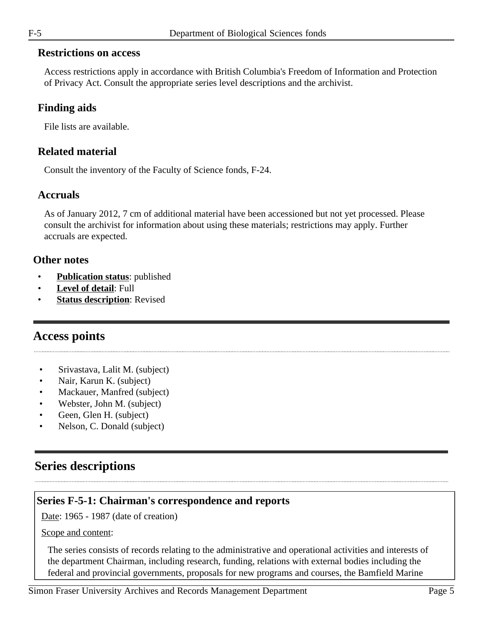#### **Restrictions on access**

Access restrictions apply in accordance with British Columbia's Freedom of Information and Protection of Privacy Act. Consult the appropriate series level descriptions and the archivist.

### **Finding aids**

File lists are available.

### **Related material**

Consult the inventory of the Faculty of Science fonds, F-24.

### **Accruals**

As of January 2012, 7 cm of additional material have been accessioned but not yet processed. Please consult the archivist for information about using these materials; restrictions may apply. Further accruals are expected.

### **Other notes**

- **Publication status**: published
- **Level of detail**: Full
- **Status description:** Revised

### <span id="page-4-0"></span>**Access points**

- Srivastava, Lalit M. (subject)
- Nair, Karun K. (subject)
- Mackauer, Manfred (subject)
- Webster, John M. (subject)
- Geen, Glen H. (subject)
- Nelson, C. Donald (subject)

### <span id="page-4-1"></span>**Series descriptions**

### <span id="page-4-2"></span>**Series F-5-1: Chairman's correspondence and reports**

Date: 1965 - 1987 (date of creation)

#### Scope and content:

The series consists of records relating to the administrative and operational activities and interests of the department Chairman, including research, funding, relations with external bodies including the federal and provincial governments, proposals for new programs and courses, the Bamfield Marine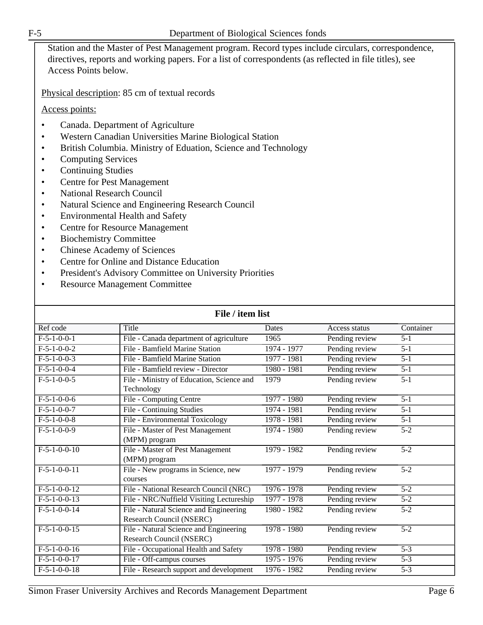Station and the Master of Pest Management program. Record types include circulars, correspondence, directives, reports and working papers. For a list of correspondents (as reflected in file titles), see Access Points below.

Physical description: 85 cm of textual records

- Canada. Department of Agriculture
- Western Canadian Universities Marine Biological Station
- British Columbia. Ministry of Eduation, Science and Technology
- Computing Services
- Continuing Studies
- Centre for Pest Management
- National Research Council
- Natural Science and Engineering Research Council
- Environmental Health and Safety
- Centre for Resource Management
- Biochemistry Committee
- Chinese Academy of Sciences
- Centre for Online and Distance Education
- President's Advisory Committee on University Priorities
- Resource Management Committee

| File / item list |                                                                    |               |                |                  |  |
|------------------|--------------------------------------------------------------------|---------------|----------------|------------------|--|
| Ref code         | Title                                                              | Dates         | Access status  | Container        |  |
| $F-5-1-0-0-1$    | File - Canada department of agriculture                            | 1965          | Pending review | $5 - 1$          |  |
| $F-5-1-0-0-2$    | File - Bamfield Marine Station                                     | 1974 - 1977   | Pending review | $\overline{5-1}$ |  |
| $F-5-1-0-0-3$    | File - Bamfield Marine Station                                     | 1977 - 1981   | Pending review | $5 - 1$          |  |
| $F-5-1-0-0-4$    | File - Bamfield review - Director                                  | 1980 - 1981   | Pending review | $5 - 1$          |  |
| $F-5-1-0-0-5$    | File - Ministry of Education, Science and<br>Technology            | 1979          | Pending review | $5-1$            |  |
| $F-5-1-0-0-6$    | File - Computing Centre                                            | 1977 - 1980   | Pending review | $5 - 1$          |  |
| $F-5-1-0-0-7$    | <b>File - Continuing Studies</b>                                   | 1974 - 1981   | Pending review | $5 - 1$          |  |
| $F-5-1-0-0-8$    | File - Environmental Toxicology                                    | 1978 - 1981   | Pending review | $5 - 1$          |  |
| $F-5-1-0-0-9$    | File - Master of Pest Management<br>(MPM) program                  | 1974 - 1980   | Pending review | $5 - 2$          |  |
| $F-5-1-0-0-10$   | File - Master of Pest Management<br>(MPM) program                  | 1979 - 1982   | Pending review | $5 - 2$          |  |
| $F-5-1-0-0-11$   | File - New programs in Science, new<br>courses                     | 1977 - 1979   | Pending review | $5 - 2$          |  |
| $F-5-1-0-0-12$   | File - National Research Council (NRC)                             | $1976 - 1978$ | Pending review | $5 - 2$          |  |
| $F-5-1-0-0-13$   | File - NRC/Nuffield Visiting Lectureship                           | $1977 - 1978$ | Pending review | $5 - 2$          |  |
| $F-5-1-0-0-14$   | File - Natural Science and Engineering<br>Research Council (NSERC) | 1980 - 1982   | Pending review | $5 - 2$          |  |
| $F-5-1-0-0-15$   | File - Natural Science and Engineering<br>Research Council (NSERC) | $1978 - 1980$ | Pending review | $\overline{5-2}$ |  |
| $F-5-1-0-0-16$   | File - Occupational Health and Safety                              | 1978 - 1980   | Pending review | $5 - 3$          |  |
| $F-5-1-0-0-17$   | File - Off-campus courses                                          | $1975 - 1976$ | Pending review | $\overline{5-3}$ |  |
| $F-5-1-0-0-18$   | File - Research support and development                            | 1976 - 1982   | Pending review | $\overline{5-3}$ |  |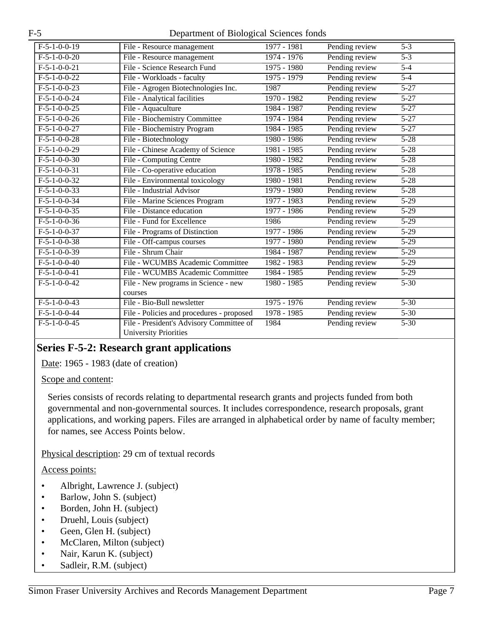| $F-5-1-0-0-19$ | File - Resource management                | $1977 - 1981$ | Pending review | $5 - 3$           |
|----------------|-------------------------------------------|---------------|----------------|-------------------|
| $F-5-1-0-0-20$ | File - Resource management                | 1974 - 1976   | Pending review | $5 - 3$           |
| $F-5-1-0-0-21$ | File - Science Research Fund              | $1975 - 1980$ | Pending review | $5 - 4$           |
| $F-5-1-0-0-22$ | File - Workloads - faculty                | 1975 - 1979   | Pending review | $5-4$             |
| $F-5-1-0-0-23$ | File - Agrogen Biotechnologies Inc.       | 1987          | Pending review | $5 - 27$          |
| $F-5-1-0-0-24$ | File - Analytical facilities              | $1970 - 1982$ | Pending review | $5 - 27$          |
| $F-5-1-0-0-25$ | File - Aquaculture                        | 1984 - 1987   | Pending review | $\overline{5-27}$ |
| $F-5-1-0-0-26$ | File - Biochemistry Committee             | 1974 - 1984   | Pending review | $5 - 27$          |
| $F-5-1-0-0-27$ | File - Biochemistry Program               | 1984 - 1985   | Pending review | $5 - 27$          |
| $F-5-1-0-0-28$ | File - Biotechnology                      | $1980 - 1986$ | Pending review | $5 - 28$          |
| $F-5-1-0-0-29$ | File - Chinese Academy of Science         | $1981 - 1985$ | Pending review | $5 - 28$          |
| $F-5-1-0-0-30$ | File - Computing Centre                   | 1980 - 1982   | Pending review | $5 - 28$          |
| $F-5-1-0-0-31$ | File - Co-operative education             | 1978 - 1985   | Pending review | $5 - 28$          |
| $F-5-1-0-0-32$ | File - Environmental toxicology           | 1980 - 1981   | Pending review | $5 - 28$          |
| $F-5-1-0-0-33$ | File - Industrial Advisor                 | $1979 - 1980$ | Pending review | $5 - 28$          |
| $F-5-1-0-0-34$ | File - Marine Sciences Program            | 1977 - 1983   | Pending review | $5 - 29$          |
| $F-5-1-0-0-35$ | File - Distance education                 | 1977 - 1986   | Pending review | $5 - 29$          |
| $F-5-1-0-0-36$ | File - Fund for Excellence                | 1986          | Pending review | $5 - 29$          |
| $F-5-1-0-0-37$ | File - Programs of Distinction            | $1977 - 1986$ | Pending review | $5-29$            |
| $F-5-1-0-0-38$ | File - Off-campus courses                 | 1977 - 1980   | Pending review | $5 - 29$          |
| $F-5-1-0-0-39$ | File - Shrum Chair                        | 1984 - 1987   | Pending review | $5 - 29$          |
| $F-5-1-0-0-40$ | File - WCUMBS Academic Committee          | 1982 - 1983   | Pending review | $\overline{5-29}$ |
| $F-5-1-0-0-41$ | File - WCUMBS Academic Committee          | 1984 - 1985   | Pending review | $5-29$            |
| $F-5-1-0-0-42$ | File - New programs in Science - new      | 1980 - 1985   | Pending review | $\overline{5-30}$ |
|                | courses                                   |               |                |                   |
| $F-5-1-0-0-43$ | File - Bio-Bull newsletter                | $1975 - 1976$ | Pending review | $5 - 30$          |
| $F-5-1-0-0-44$ | File - Policies and procedures - proposed | $1978 - 1985$ | Pending review | $5 - 30$          |
| $F-5-1-0-0-45$ | File - President's Advisory Committee of  | 1984          | Pending review | $\overline{5-30}$ |
|                | <b>University Priorities</b>              |               |                |                   |

### <span id="page-6-0"></span>**Series F-5-2: Research grant applications**

Date: 1965 - 1983 (date of creation)

Scope and content:

Series consists of records relating to departmental research grants and projects funded from both governmental and non-governmental sources. It includes correspondence, research proposals, grant applications, and working papers. Files are arranged in alphabetical order by name of faculty member; for names, see Access Points below.

Physical description: 29 cm of textual records

- Albright, Lawrence J. (subject)
- Barlow, John S. (subject)
- Borden, John H. (subject)
- Druehl, Louis (subject)
- Geen, Glen H. (subject)
- McClaren, Milton (subject)
- Nair, Karun K. (subject)
- Sadleir, R.M. (subject)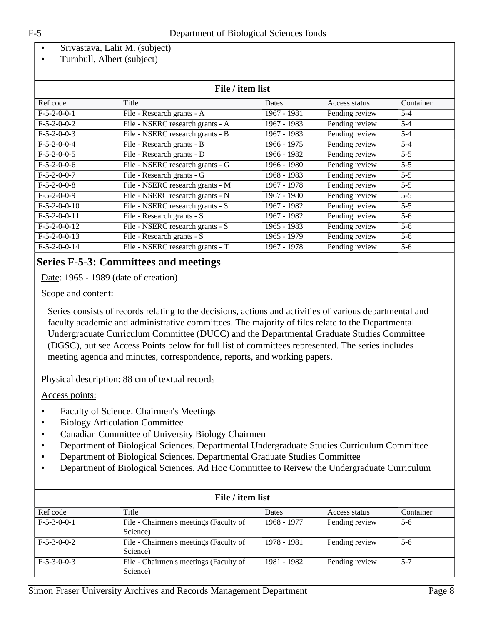- Srivastava, Lalit M. (subject)
- Turnbull, Albert (subject)

| File / item list          |                                  |             |                |           |  |
|---------------------------|----------------------------------|-------------|----------------|-----------|--|
| Ref code                  | Title                            | Dates       | Access status  | Container |  |
| $F-5-2-0-0-1$             | File - Research grants - A       | 1967 - 1981 | Pending review | $5 - 4$   |  |
| $F-5-2-0-0-2$             | File - NSERC research grants - A | 1967 - 1983 | Pending review | $5 - 4$   |  |
| $F-5-2-0-0-3$             | File - NSERC research grants - B | 1967 - 1983 | Pending review | $5 - 4$   |  |
| $F-5-2-0-0-4$             | File - Research grants - B       | 1966 - 1975 | Pending review | $5 - 4$   |  |
| $F-5-2-0-0-5$             | File - Research grants - D       | 1966 - 1982 | Pending review | $5 - 5$   |  |
| $F-5-2-0-0-6$             | File - NSERC research grants - G | 1966 - 1980 | Pending review | $5 - 5$   |  |
| $F-5-2-0-0-7$             | File - Research grants - G       | 1968 - 1983 | Pending review | $5 - 5$   |  |
| $F-5-2-0-0-8$             | File - NSERC research grants - M | 1967 - 1978 | Pending review | $5 - 5$   |  |
| $F-5-2-0-0-9$             | File - NSERC research grants - N | 1967 - 1980 | Pending review | $5 - 5$   |  |
| $\overline{F-5-2-0-0-10}$ | File - NSERC research grants - S | 1967 - 1982 | Pending review | $5 - 5$   |  |
| $F-5-2-0-0-11$            | File - Research grants - S       | 1967 - 1982 | Pending review | $5-6$     |  |
| $F-5-2-0-0-12$            | File - NSERC research grants - S | 1965 - 1983 | Pending review | $5-6$     |  |
| $F-5-2-0-0-13$            | File - Research grants - S       | 1965 - 1979 | Pending review | $5-6$     |  |
| $F-5-2-0-0-14$            | File - NSERC research grants - T | 1967 - 1978 | Pending review | $5-6$     |  |

### <span id="page-7-0"></span>**Series F-5-3: Committees and meetings**

Date: 1965 - 1989 (date of creation)

#### Scope and content:

Series consists of records relating to the decisions, actions and activities of various departmental and faculty academic and administrative committees. The majority of files relate to the Departmental Undergraduate Curriculum Committee (DUCC) and the Departmental Graduate Studies Committee (DGSC), but see Access Points below for full list of committees represented. The series includes meeting agenda and minutes, correspondence, reports, and working papers.

Physical description: 88 cm of textual records

- Faculty of Science. Chairmen's Meetings
- Biology Articulation Committee
- Canadian Committee of University Biology Chairmen
- Department of Biological Sciences. Departmental Undergraduate Studies Curriculum Committee
- Department of Biological Sciences. Departmental Graduate Studies Committee
- Department of Biological Sciences. Ad Hoc Committee to Reivew the Undergraduate Curriculum

| File / item list |                                                    |             |                |           |  |
|------------------|----------------------------------------------------|-------------|----------------|-----------|--|
| Ref code         | Title                                              | Dates       | Access status  | Container |  |
| $F-5-3-0-0-1$    | File - Chairmen's meetings (Faculty of<br>Science) | 1968 - 1977 | Pending review | 5-6       |  |
| $F-5-3-0-0-2$    | File - Chairmen's meetings (Faculty of<br>Science) | 1978 - 1981 | Pending review | 5-6       |  |
| $F-5-3-0-0-3$    | File - Chairmen's meetings (Faculty of<br>Science) | 1981 - 1982 | Pending review | 5-7       |  |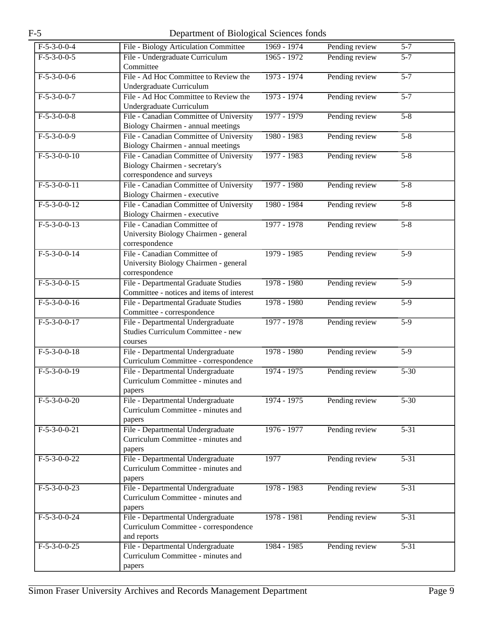| $F-5-3-0-0-4$  | File - Biology Articulation Committee       | $1969 - 1974$ | Pending review | $5 - 7$          |
|----------------|---------------------------------------------|---------------|----------------|------------------|
| $F-5-3-0-0-5$  | File - Undergraduate Curriculum             | $1965 - 1972$ | Pending review | $\overline{5-7}$ |
|                | Committee                                   |               |                |                  |
| $F-5-3-0-0-6$  | File - Ad Hoc Committee to Review the       | 1973 - 1974   | Pending review | $5 - 7$          |
|                | Undergraduate Curriculum                    |               |                |                  |
| $F-5-3-0-0-7$  | File - Ad Hoc Committee to Review the       | 1973 - 1974   | Pending review | $5 - 7$          |
|                | Undergraduate Curriculum                    |               |                |                  |
| $F-5-3-0-0-8$  | File - Canadian Committee of University     | 1977 - 1979   | Pending review | $5 - 8$          |
|                | Biology Chairmen - annual meetings          |               |                |                  |
| $F-5-3-0-0-9$  | File - Canadian Committee of University     | 1980 - 1983   | Pending review | $5 - 8$          |
|                | Biology Chairmen - annual meetings          |               |                |                  |
| $F-5-3-0-0-10$ | File - Canadian Committee of University     | 1977 - 1983   | Pending review | $5 - 8$          |
|                | Biology Chairmen - secretary's              |               |                |                  |
|                | correspondence and surveys                  |               |                |                  |
| $F-5-3-0-0-11$ | File - Canadian Committee of University     | 1977 - 1980   | Pending review | $5 - 8$          |
|                | Biology Chairmen - executive                |               |                |                  |
| $F-5-3-0-0-12$ | File - Canadian Committee of University     | 1980 - 1984   | Pending review | $5 - 8$          |
|                | Biology Chairmen - executive                |               |                |                  |
| $F-5-3-0-0-13$ | File - Canadian Committee of                | 1977 - 1978   | Pending review | $5 - 8$          |
|                | University Biology Chairmen - general       |               |                |                  |
|                | correspondence                              |               |                |                  |
| $F-5-3-0-0-14$ | File - Canadian Committee of                | 1979 - 1985   | Pending review | $5-9$            |
|                | University Biology Chairmen - general       |               |                |                  |
|                | correspondence                              |               |                |                  |
| $F-5-3-0-0-15$ | File - Departmental Graduate Studies        | 1978 - 1980   | Pending review | $5-9$            |
|                | Committee - notices and items of interest   |               |                |                  |
| $F-5-3-0-0-16$ | File - Departmental Graduate Studies        | $1978 - 1980$ | Pending review | $\overline{5-9}$ |
|                | Committee - correspondence                  |               |                |                  |
| $F-5-3-0-0-17$ | File - Departmental Undergraduate           | 1977 - 1978   | Pending review | $\overline{5-9}$ |
|                | Studies Curriculum Committee - new          |               |                |                  |
|                | courses                                     |               |                |                  |
| $F-5-3-0-0-18$ | File - Departmental Undergraduate           | 1978 - 1980   | Pending review | $5-9$            |
|                | Curriculum Committee - correspondence       |               |                |                  |
| $F-5-3-0-0-19$ | File - Departmental Undergraduate           | 1974 - 1975   | Pending review | $5 - 30$         |
|                | Curriculum Committee - minutes and          |               |                |                  |
|                |                                             |               |                |                  |
| $F-5-3-0-0-20$ | papers<br>File - Departmental Undergraduate | $1974 - 1975$ | Pending review | $5 - 30$         |
|                | Curriculum Committee - minutes and          |               |                |                  |
|                | papers                                      |               |                |                  |
| $F-5-3-0-0-21$ | File - Departmental Undergraduate           | 1976 - 1977   | Pending review | $5 - 31$         |
|                | Curriculum Committee - minutes and          |               |                |                  |
|                | papers                                      |               |                |                  |
| $F-5-3-0-0-22$ | File - Departmental Undergraduate           | 1977          | Pending review | $5 - 31$         |
|                | Curriculum Committee - minutes and          |               |                |                  |
|                | papers                                      |               |                |                  |
| $F-5-3-0-0-23$ | File - Departmental Undergraduate           | 1978 - 1983   | Pending review | $5 - 31$         |
|                | Curriculum Committee - minutes and          |               |                |                  |
|                | papers                                      |               |                |                  |
| $F-5-3-0-0-24$ | File - Departmental Undergraduate           | 1978 - 1981   | Pending review | $5 - 31$         |
|                | Curriculum Committee - correspondence       |               |                |                  |
|                | and reports                                 |               |                |                  |
| $F-5-3-0-0-25$ | File - Departmental Undergraduate           | 1984 - 1985   |                | $5 - 31$         |
|                | Curriculum Committee - minutes and          |               | Pending review |                  |
|                |                                             |               |                |                  |
|                | papers                                      |               |                |                  |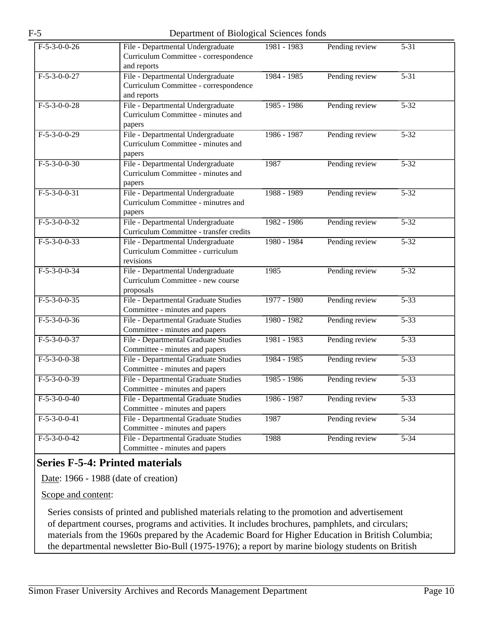| $F-5-3-0-0-26$ | File - Departmental Undergraduate<br>Curriculum Committee - correspondence<br>and reports | $1981 - 1983$ | Pending review | $5 - 31$          |
|----------------|-------------------------------------------------------------------------------------------|---------------|----------------|-------------------|
| $F-5-3-0-0-27$ | File - Departmental Undergraduate<br>Curriculum Committee - correspondence<br>and reports | 1984 - 1985   | Pending review | $5 - 31$          |
| $F-5-3-0-0-28$ | File - Departmental Undergraduate<br>Curriculum Committee - minutes and<br>papers         | $1985 - 1986$ | Pending review | $5 - 32$          |
| $F-5-3-0-0-29$ | File - Departmental Undergraduate<br>Curriculum Committee - minutes and<br>papers         | 1986 - 1987   | Pending review | $5 - 32$          |
| $F-5-3-0-0-30$ | File - Departmental Undergraduate<br>Curriculum Committee - minutes and<br>papers         | 1987          | Pending review | $5 - 32$          |
| $F-5-3-0-0-31$ | File - Departmental Undergraduate<br>Curriculum Committee - minutres and<br>papers        | 1988 - 1989   | Pending review | $5 - 32$          |
| $F-5-3-0-0-32$ | File - Departmental Undergraduate<br>Curriculum Committee - transfer credits              | 1982 - 1986   | Pending review | $5 - 32$          |
| $F-5-3-0-0-33$ | File - Departmental Undergraduate<br>Curriculum Committee - curriculum<br>revisions       | 1980 - 1984   | Pending review | $5 - 32$          |
| $F-5-3-0-0-34$ | File - Departmental Undergraduate<br>Curriculum Committee - new course<br>proposals       | 1985          | Pending review | $5 - 32$          |
| $F-5-3-0-0-35$ | File - Departmental Graduate Studies<br>Committee - minutes and papers                    | 1977 - 1980   | Pending review | $5 - 33$          |
| $F-5-3-0-0-36$ | File - Departmental Graduate Studies<br>Committee - minutes and papers                    | 1980 - 1982   | Pending review | $5 - 33$          |
| $F-5-3-0-0-37$ | File - Departmental Graduate Studies<br>Committee - minutes and papers                    | 1981 - 1983   | Pending review | $\overline{5-33}$ |
| $F-5-3-0-0-38$ | File - Departmental Graduate Studies<br>Committee - minutes and papers                    | 1984 - 1985   | Pending review | $5 - 33$          |
| $F-5-3-0-0-39$ | File - Departmental Graduate Studies<br>Committee - minutes and papers                    | 1985 - 1986   | Pending review | $5 - 33$          |
| $F-5-3-0-0-40$ | File - Departmental Graduate Studies<br>Committee - minutes and papers                    | 1986 - 1987   | Pending review | $5 - 33$          |
| $F-5-3-0-0-41$ | File - Departmental Graduate Studies<br>Committee - minutes and papers                    | 1987          | Pending review | $5 - 34$          |
| $F-5-3-0-0-42$ | File - Departmental Graduate Studies<br>Committee - minutes and papers                    | 1988          | Pending review | $5 - 34$          |

### <span id="page-9-0"></span>**Series F-5-4: Printed materials**

Date: 1966 - 1988 (date of creation)

Scope and content:

Series consists of printed and published materials relating to the promotion and advertisement of department courses, programs and activities. It includes brochures, pamphlets, and circulars; materials from the 1960s prepared by the Academic Board for Higher Education in British Columbia; the departmental newsletter Bio-Bull (1975-1976); a report by marine biology students on British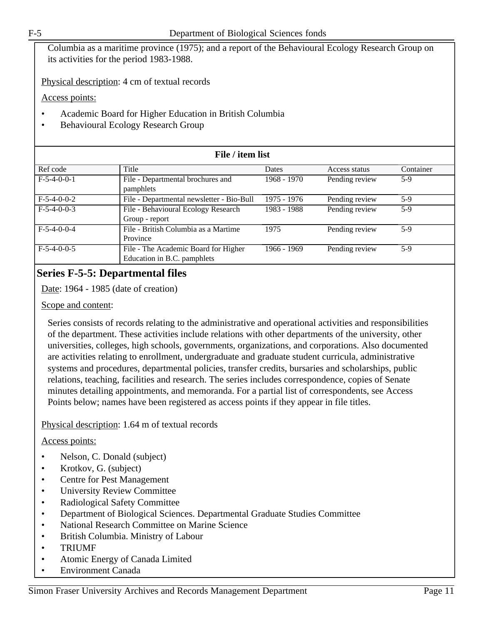Columbia as a maritime province (1975); and a report of the Behavioural Ecology Research Group on its activities for the period 1983-1988.

Physical description: 4 cm of textual records

Access points:

- Academic Board for Higher Education in British Columbia
- Behavioural Ecology Research Group

| File / item list |                                                                     |             |                |           |
|------------------|---------------------------------------------------------------------|-------------|----------------|-----------|
| Ref code         | Title                                                               | Dates       | Access status  | Container |
| $F-5-4-0-0-1$    | File - Departmental brochures and<br>pamphlets                      | 1968 - 1970 | Pending review | $5-9$     |
| $F-5-4-0-0-2$    | File - Departmental newsletter - Bio-Bull                           | 1975 - 1976 | Pending review | $5-9$     |
| $F-5-4-0-0-3$    | File - Behavioural Ecology Research<br>Group - report               | 1983 - 1988 | Pending review | $5-9$     |
| $F-5-4-0-0-4$    | File - British Columbia as a Martime<br>Province                    | 1975        | Pending review | $5-9$     |
| $F-5-4-0-0-5$    | File - The Academic Board for Higher<br>Education in B.C. pamphlets | 1966 - 1969 | Pending review | $5-9$     |

#### <span id="page-10-0"></span>**Series F-5-5: Departmental files**

Date: 1964 - 1985 (date of creation)

#### Scope and content:

Series consists of records relating to the administrative and operational activities and responsibilities of the department. These activities include relations with other departments of the university, other universities, colleges, high schools, governments, organizations, and corporations. Also documented are activities relating to enrollment, undergraduate and graduate student curricula, administrative systems and procedures, departmental policies, transfer credits, bursaries and scholarships, public relations, teaching, facilities and research. The series includes correspondence, copies of Senate minutes detailing appointments, and memoranda. For a partial list of correspondents, see Access Points below; names have been registered as access points if they appear in file titles.

Physical description: 1.64 m of textual records

- Nelson, C. Donald (subject)
- Krotkov, G. (subject)
- Centre for Pest Management
- University Review Committee
- Radiological Safety Committee
- Department of Biological Sciences. Departmental Graduate Studies Committee
- National Research Committee on Marine Science
- British Columbia. Ministry of Labour
- TRIUMF
- Atomic Energy of Canada Limited
- Environment Canada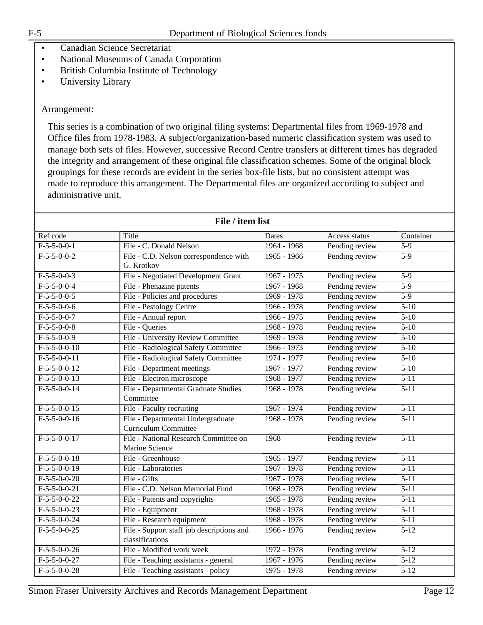- Canadian Science Secretariat
- National Museums of Canada Corporation
- British Columbia Institute of Technology
- University Library

#### Arrangement:

This series is a combination of two original filing systems: Departmental files from 1969-1978 and Office files from 1978-1983. A subject/organization-based numeric classification system was used to manage both sets of files. However, successive Record Centre transfers at different times has degraded the integrity and arrangement of these original file classification schemes. Some of the original block groupings for these records are evident in the series box-file lists, but no consistent attempt was made to reproduce this arrangement. The Departmental files are organized according to subject and administrative unit.

| File / item list |                                           |               |                |                   |
|------------------|-------------------------------------------|---------------|----------------|-------------------|
| Ref code         | Title                                     | Dates         | Access status  | Container         |
| $F-5-5-0-0-1$    | File - C. Donald Nelson                   | $1964 - 1968$ | Pending review | $\overline{5-9}$  |
| $F-5-5-0-0-2$    | File - C.D. Nelson correspondence with    | $1965 - 1966$ | Pending review | $5-9$             |
|                  | G. Krotkov                                |               |                |                   |
| $F-5-5-0-0-3$    | File - Negotiated Development Grant       | 1967 - 1975   | Pending review | $5-9$             |
| $F-5-5-0-0-4$    | File - Phenazine patents                  | $1967 - 1968$ | Pending review | $\overline{5-9}$  |
| $F-5-5-0-0-5$    | File - Policies and procedures            | 1969 - 1978   | Pending review | $5-9$             |
| $F-5-5-0-0-6$    | File - Pestology Centre                   | $1966 - 1978$ | Pending review | $5 - 10$          |
| $F-5-5-0-0-7$    | File - Annual report                      | $1966 - 1975$ | Pending review | $\frac{1}{5-10}$  |
| $F-5-5-0-0-8$    | File - Queries                            | $1968 - 1978$ | Pending review | $5 - 10$          |
| $F-5-5-0-0-9$    | <b>File - University Review Committee</b> | 1969 - 1978   | Pending review | $5 - 10$          |
| $F-5-5-0-0-10$   | File - Radiological Safety Committee      | $1966 - 1973$ | Pending review | $5 - 10$          |
| $F-5-5-0-0-11$   | File - Radiological Safety Committee      | 1974 - 1977   | Pending review | $5-10$            |
| $F-5-5-0-0-12$   | File - Department meetings                | 1967 - 1977   | Pending review | $5 - 10$          |
| $F-5-5-0-0-13$   | File - Electron microscope                | 1968 - 1977   | Pending review | $5 - 11$          |
| $F-5-5-0-0-14$   | File - Departmental Graduate Studies      | $1968 - 1978$ | Pending review | $5 - 11$          |
|                  | Committee                                 |               |                |                   |
| $F-5-5-0-0-15$   | File - Faculty recruiting                 | 1967 - 1974   | Pending review | $5-11$            |
| $F-5-5-0-0-16$   | File - Departmental Undergraduate         | $1968 - 1978$ | Pending review | $\overline{5-11}$ |
|                  | <b>Curriculum Committee</b>               |               |                |                   |
| $F-5-5-0-0-17$   | File - National Research Committee on     | 1968          | Pending review | $5 - 11$          |
|                  | Marine Science                            |               |                |                   |
| $F-5-5-0-0-18$   | File - Greenhouse                         | 1965 - 1977   | Pending review | $5-11$            |
| $F-5-5-0-0-19$   | File - Laboratories                       | $1967 - 1978$ | Pending review | $5 - 11$          |
| $F-5-5-0-0-20$   | File - Gifts                              | 1967 - 1978   | Pending review | $5 - 11$          |
| $F-5-5-0-0-21$   | File - C.D. Nelson Memorial Fund          | $1968 - 1978$ | Pending review | $5-11$            |
| $F-5-5-0-0-22$   | File - Patents and copyrights             | $1965 - 1978$ | Pending review | $5 - 11$          |
| $F-5-5-0-0-23$   | File - Equipment                          | $1968 - 1978$ | Pending review | $5 - 11$          |
| $F-5-5-0-0-24$   | File - Research equipment                 | $1968 - 1978$ | Pending review | $5 - 11$          |
| $F-5-5-0-0-25$   | File - Support staff job descriptions and | $1966 - 1976$ | Pending review | $\sqrt{5-12}$     |
|                  | classifications                           |               |                |                   |
| $F-5-5-0-0-26$   | File - Modified work week                 | 1972 - 1978   | Pending review | $5 - 12$          |
| $F-5-5-0-0-27$   | File - Teaching assistants - general      | 1967 - 1976   | Pending review | $5 - 12$          |
| $F-5-5-0-0-28$   | File - Teaching assistants - policy       | 1975 - 1978   | Pending review | $\overline{5-12}$ |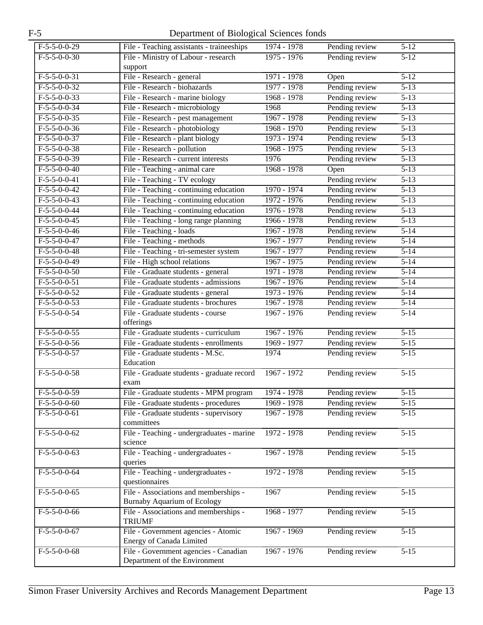| $F-5-5-0-0-29$ | File - Teaching assistants - traineeships            | 1974 - 1978   | Pending review | $5 - 12$          |
|----------------|------------------------------------------------------|---------------|----------------|-------------------|
| $F-5-5-0-0-30$ | File - Ministry of Labour - research                 | 1975 - 1976   | Pending review | $5 - 12$          |
|                | support                                              |               |                |                   |
| $F-5-5-0-0-31$ | File - Research - general                            | $1971 - 1978$ | Open           | $\overline{5-12}$ |
| $F-5-5-0-0-32$ | File - Research - biohazards                         | 1977 - 1978   | Pending review | $5 - 13$          |
| $F-5-5-0-0-33$ | File - Research - marine biology                     | $1968 - 1978$ | Pending review | $5 - 13$          |
| $F-5-5-0-0-34$ | File - Research - microbiology                       | 1968          | Pending review | $5 - 13$          |
| $F-5-5-0-0-35$ | File - Research - pest management                    | 1967 - 1978   | Pending review | $5 - 13$          |
| $F-5-5-0-0-36$ | File - Research - photobiology                       | 1968 - 1970   | Pending review | $5-13$            |
| $F-5-5-0-0-37$ | File - Research - plant biology                      | 1973 - 1974   | Pending review | $\overline{5-13}$ |
| $F-5-5-0-0-38$ | File - Research - pollution                          | 1968 - 1975   | Pending review | $5 - 13$          |
| $F-5-5-0-0-39$ | File - Research - current interests                  | 1976          | Pending review | $5 - 13$          |
| $F-5-5-0-0-40$ | File - Teaching - animal care                        | $1968 - 1978$ | Open           | $5 - 13$          |
| $F-5-5-0-0-41$ | File - Teaching - TV ecology                         |               | Pending review | $5 - 13$          |
| $F-5-5-0-0-42$ | File - Teaching - continuing education               | 1970 - 1974   | Pending review | $5-13$            |
| $F-5-5-0-0-43$ | File - Teaching - continuing education               | $1972 - 1976$ | Pending review | $\overline{5-13}$ |
| $F-5-5-0-0-44$ | File - Teaching - continuing education               | 1976 - 1978   | Pending review | $5 - 13$          |
| $F-5-5-0-0-45$ | File - Teaching - long range planning                | $1966 - 1978$ | Pending review | $5 - 13$          |
| $F-5-5-0-0-46$ | File - Teaching - loads                              | 1967 - 1978   | Pending review | $5 - 14$          |
| $F-5-5-0-0-47$ | File - Teaching - methods                            | 1967 - 1977   | Pending review | $5 - 14$          |
| $F-5-5-0-0-48$ | File - Teaching - tri-semester system                | 1967 - 1977   | Pending review | $5 - 14$          |
| $F-5-5-0-0-49$ | File - High school relations                         | $1967 - 1975$ | Pending review | $5 - 14$          |
| $F-5-5-0-0-50$ | File - Graduate students - general                   | $1971 - 1978$ | Pending review | $5 - 14$          |
| $F-5-5-0-0-51$ | File - Graduate students - admissions                | 1967 - 1976   | Pending review | $5 - 14$          |
| $F-5-5-0-0-52$ | File - Graduate students - general                   | 1973 - 1976   | Pending review | $5 - 14$          |
| $F-5-5-0-0-53$ | File - Graduate students - brochures                 | 1967 - 1978   | Pending review | $5 - 14$          |
| $F-5-5-0-0-54$ | File - Graduate students - course                    | $1967 - 1976$ | Pending review | $5 - 14$          |
|                | offerings                                            |               |                |                   |
| $F-5-5-0-0-55$ | File - Graduate students - curriculum                | $1967 - 1976$ | Pending review | $\overline{5-15}$ |
| $F-5-5-0-0-56$ | File - Graduate students - enrollments               | 1969 - 1977   | Pending review | $5 - 15$          |
| $F-5-5-0-0-57$ | File - Graduate students - M.Sc.                     | 1974          | Pending review | $5 - 15$          |
|                | Education                                            |               |                |                   |
| $F-5-5-0-0-58$ | File - Graduate students - graduate record           | $1967 - 1972$ | Pending review | $5 - 15$          |
|                | exam                                                 |               |                |                   |
| $F-5-5-0-0-59$ | File - Graduate students - MPM program               | 1974 - 1978   | Pending review | $5 - 15$          |
| $F-5-5-0-0-60$ | File - Graduate students - procedures                | 1969 - 1978   | Pending review | $5 - 15$          |
| $F-5-5-0-0-61$ | File - Graduate students - supervisory               | 1967 - 1978   | Pending review | $5 - 15$          |
|                | committees                                           |               |                |                   |
| $F-5-5-0-0-62$ | File - Teaching - undergraduates - marine            | 1972 - 1978   | Pending review | $5 - 15$          |
|                | science                                              |               |                |                   |
| $F-5-5-0-0-63$ | File - Teaching - undergraduates -                   | 1967 - 1978   | Pending review | $5 - 15$          |
|                | queries                                              |               |                |                   |
| $F-5-5-0-0-64$ | File - Teaching - undergraduates -<br>questionnaires | 1972 - 1978   | Pending review | $5 - 15$          |
| $F-5-5-0-0-65$ | File - Associations and memberships -                | 1967          |                | $5 - 15$          |
|                | <b>Burnaby Aquarium of Ecology</b>                   |               | Pending review |                   |
| $F-5-5-0-0-66$ | File - Associations and memberships -                | 1968 - 1977   | Pending review | $5 - 15$          |
|                | <b>TRIUMF</b>                                        |               |                |                   |
| $F-5-5-0-0-67$ | File - Government agencies - Atomic                  | 1967 - 1969   | Pending review | $5 - 15$          |
|                | Energy of Canada Limited                             |               |                |                   |
| $F-5-5-0-0-68$ | File - Government agencies - Canadian                | 1967 - 1976   | Pending review | $5 - 15$          |
|                | Department of the Environment                        |               |                |                   |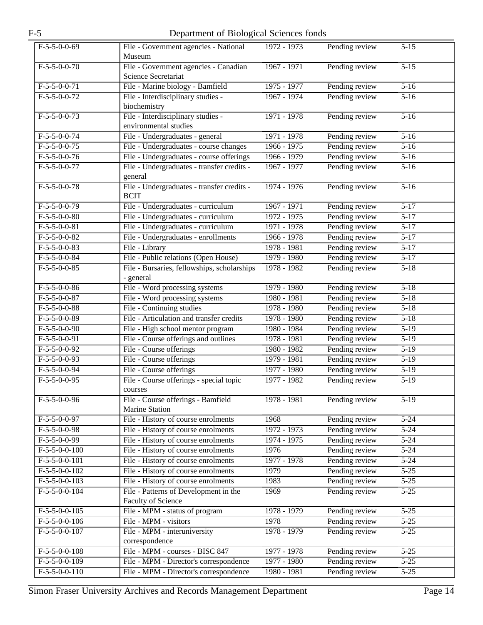| $F-5-5-0-0-69$  | File - Government agencies - National<br>Museum              | $1972 - 1973$ | Pending review | $5 - 15$          |
|-----------------|--------------------------------------------------------------|---------------|----------------|-------------------|
|                 |                                                              |               |                |                   |
| $F-5-5-0-0-70$  | File - Government agencies - Canadian<br>Science Secretariat | $1967 - 1971$ | Pending review | $\overline{5-15}$ |
| $F-5-5-0-0-71$  | File - Marine biology - Bamfield                             | 1975 - 1977   | Pending review | $5 - 16$          |
| $F-5-5-0-0-72$  | File - Interdisciplinary studies -                           | 1967 - 1974   | Pending review | $5 - 16$          |
|                 | biochemistry                                                 |               |                |                   |
| $F-5-5-0-0-73$  | File - Interdisciplinary studies -                           | 1971 - 1978   | Pending review | $5 - 16$          |
|                 | environmental studies                                        |               |                |                   |
| $F-5-5-0-0-74$  | File - Undergraduates - general                              | $1971 - 1978$ | Pending review | $5-16$            |
| $F-5-5-0-0-75$  | File - Undergraduates - course changes                       | $1966 - 1975$ | Pending review | $\overline{5-16}$ |
| $F-5-5-0-0-76$  | File - Undergraduates - course offerings                     | 1966 - 1979   | Pending review | $5 - 16$          |
| $F-5-5-0-0-77$  | File - Undergraduates - transfer credits -                   | 1967 - 1977   | Pending review | $5 - 16$          |
|                 | general                                                      |               |                |                   |
| $F-5-5-0-0-78$  | File - Undergraduates - transfer credits -                   | 1974 - 1976   | Pending review | $5 - 16$          |
|                 | <b>BCIT</b>                                                  |               |                |                   |
| $F-5-5-0-0-79$  | File - Undergraduates - curriculum                           | 1967 - 1971   | Pending review | $5 - 17$          |
| $F-5-5-0-0-80$  | File - Undergraduates - curriculum                           | 1972 - 1975   | Pending review | $5 - 17$          |
| $F-5-5-0-0-81$  | File - Undergraduates - curriculum                           | $1971 - 1978$ | Pending review | $5 - 17$          |
| $F-5-5-0-0-82$  | File - Undergraduates - enrollments                          | 1966 - 1978   | Pending review | $\sqrt{5-17}$     |
| $F-5-5-0-0-83$  | File - Library                                               | 1978 - 1981   | Pending review | $5 - 17$          |
| $F-5-5-0-0-84$  | File - Public relations (Open House)                         | 1979 - 1980   | Pending review | $5 - 17$          |
| $F-5-5-0-0-85$  | File - Bursaries, fellowships, scholarships                  | $1978 - 1982$ | Pending review | $5 - 18$          |
|                 | - general                                                    |               |                |                   |
| $F-5-5-0-0-86$  | File - Word processing systems                               | 1979 - 1980   | Pending review | $5 - 18$          |
| $F-5-5-0-0-87$  | File - Word processing systems                               | $1980 - 1981$ | Pending review | $5 - 18$          |
| $F-5-5-0-0-88$  | File - Continuing studies                                    | 1978 - 1980   | Pending review | $5 - 18$          |
| $F-5-5-0-0-89$  | File - Articulation and transfer credits                     | 1978 - 1980   | Pending review | $5 - 18$          |
| $F-5-5-0-0-90$  | File - High school mentor program                            | 1980 - 1984   | Pending review | $5-19$            |
| $F-5-5-0-0-91$  | File - Course offerings and outlines                         | 1978 - 1981   | Pending review | $5-19$            |
| $F-5-5-0-0-92$  | File - Course offerings                                      | 1980 - 1982   | Pending review | $5-19$            |
| $F-5-5-0-0-93$  | File - Course offerings                                      | 1979 - 1981   | Pending review | $5-19$            |
| $F-5-5-0-0-94$  | File - Course offerings                                      | 1977 - 1980   | Pending review | $5-19$            |
| $F-5-5-0-0-95$  | File - Course offerings - special topic                      | 1977 - 1982   | Pending review | $5-19$            |
|                 | courses                                                      |               |                |                   |
| $F-5-5-0-0-96$  | File - Course offerings - Bamfield                           | 1978 - 1981   | Pending review | $5-19$            |
|                 | Marine Station                                               |               |                |                   |
| $F-5-5-0-0-97$  | File - History of course enrolments                          | 1968          | Pending review | $5 - 24$          |
| $F-5-5-0-0-98$  | File - History of course enrolments                          | 1972 - 1973   | Pending review | $5 - 24$          |
| $F-5-5-0-0-99$  | File - History of course enrolments                          | 1974 - 1975   | Pending review | $5 - 24$          |
| $F-5-5-0-0-100$ | File - History of course enrolments                          | 1976          | Pending review | $5 - 24$          |
| $F-5-5-0-0-101$ | File - History of course enrolments                          | 1977 - 1978   | Pending review | $5 - 24$          |
| $F-5-5-0-0-102$ | File - History of course enrolments                          | 1979          | Pending review | $5 - 25$          |
| $F-5-5-0-0-103$ | File - History of course enrolments                          | 1983          | Pending review | $5 - 25$          |
| $F-5-5-0-0-104$ | File - Patterns of Development in the                        | 1969          | Pending review | $5 - 25$          |
|                 | Faculty of Science                                           |               |                |                   |
| $F-5-5-0-0-105$ | File - MPM - status of program                               | 1978 - 1979   | Pending review | $5 - 25$          |
| $F-5-5-0-0-106$ | File - MPM - visitors                                        | 1978          | Pending review | $5 - 25$          |
| $F-5-5-0-0-107$ | File - MPM - interuniversity                                 | 1978 - 1979   | Pending review | $5 - 25$          |
|                 | correspondence                                               |               |                |                   |
| $F-5-5-0-0-108$ | File - MPM - courses - BISC 847                              | 1977 - 1978   | Pending review | $5 - 25$          |
| $F-5-5-0-0-109$ | File - MPM - Director's correspondence                       | 1977 - 1980   | Pending review | $5 - 25$          |
| $F-5-5-0-0-110$ | File - MPM - Director's correspondence                       | 1980 - 1981   | Pending review | $5 - 25$          |
|                 |                                                              |               |                |                   |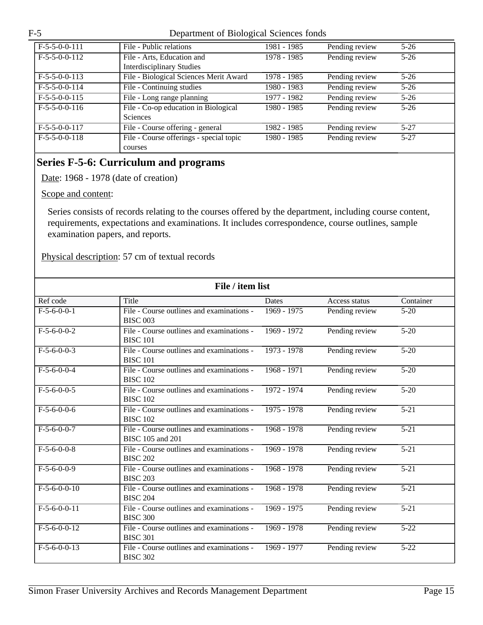| $F-5-5-0-0-111$ | File - Public relations                 | 1981 - 1985 | Pending review | $5 - 26$ |
|-----------------|-----------------------------------------|-------------|----------------|----------|
| $F-5-5-0-0-112$ | File - Arts, Education and              | 1978 - 1985 | Pending review | $5 - 26$ |
|                 | <b>Interdisciplinary Studies</b>        |             |                |          |
| $F-5-5-0-0-113$ | File - Biological Sciences Merit Award  | 1978 - 1985 | Pending review | $5-26$   |
| $F-5-5-0-0-114$ | File - Continuing studies               | 1980 - 1983 | Pending review | $5 - 26$ |
| $F-5-5-0-0-115$ | File - Long range planning              | 1977 - 1982 | Pending review | $5 - 26$ |
| $F-5-5-0-0-116$ | File - Co-op education in Biological    | 1980 - 1985 | Pending review | $5 - 26$ |
|                 | <b>Sciences</b>                         |             |                |          |
| $F-5-5-0-0-117$ | File - Course offering - general        | 1982 - 1985 | Pending review | $5-27$   |
| $F-5-5-0-0-118$ | File - Course offerings - special topic | 1980 - 1985 | Pending review | $5 - 27$ |
|                 | courses                                 |             |                |          |

### <span id="page-14-0"></span>**Series F-5-6: Curriculum and programs**

Date: 1968 - 1978 (date of creation)

Scope and content:

Series consists of records relating to the courses offered by the department, including course content, requirements, expectations and examinations. It includes correspondence, course outlines, sample examination papers, and reports.

Physical description: 57 cm of textual records

| File / item list |                                                               |               |                |           |
|------------------|---------------------------------------------------------------|---------------|----------------|-----------|
| Ref code         | Title                                                         | <b>Dates</b>  | Access status  | Container |
| $F-5-6-0-0-1$    | File - Course outlines and examinations -<br><b>BISC 003</b>  | $1969 - 1975$ | Pending review | $5 - 20$  |
| $F-5-6-0-0-2$    | File - Course outlines and examinations -<br><b>BISC 101</b>  | 1969 - 1972   | Pending review | $5 - 20$  |
| $F-5-6-0-0-3$    | File - Course outlines and examinations -<br><b>BISC 101</b>  | $1973 - 1978$ | Pending review | $5 - 20$  |
| $F-5-6-0-0-4$    | File - Course outlines and examinations -<br><b>BISC 102</b>  | $1968 - 1971$ | Pending review | $5 - 20$  |
| $F-5-6-0-0-5$    | File - Course outlines and examinations -<br><b>BISC 102</b>  | 1972 - 1974   | Pending review | $5 - 20$  |
| $F-5-6-0-0-6$    | File - Course outlines and examinations -<br><b>BISC 102</b>  | $1975 - 1978$ | Pending review | $5 - 21$  |
| $F-5-6-0-0-7$    | File - Course outlines and examinations -<br>BISC 105 and 201 | 1968 - 1978   | Pending review | $5 - 21$  |
| $F-5-6-0-0-8$    | File - Course outlines and examinations -<br><b>BISC 202</b>  | 1969 - 1978   | Pending review | $5 - 21$  |
| $F-5-6-0-0-9$    | File - Course outlines and examinations -<br><b>BISC 203</b>  | $1968 - 1978$ | Pending review | $5 - 21$  |
| $F-5-6-0-0-10$   | File - Course outlines and examinations -<br><b>BISC 204</b>  | $1968 - 1978$ | Pending review | $5 - 21$  |
| $F-5-6-0-0-11$   | File - Course outlines and examinations -<br><b>BISC 300</b>  | 1969 - 1975   | Pending review | $5 - 21$  |
| $F-5-6-0-0-12$   | File - Course outlines and examinations -<br><b>BISC 301</b>  | $1969 - 1978$ | Pending review | $5 - 22$  |
| $F-5-6-0-0-13$   | File - Course outlines and examinations -<br><b>BISC 302</b>  | $1969 - 1977$ | Pending review | $5 - 22$  |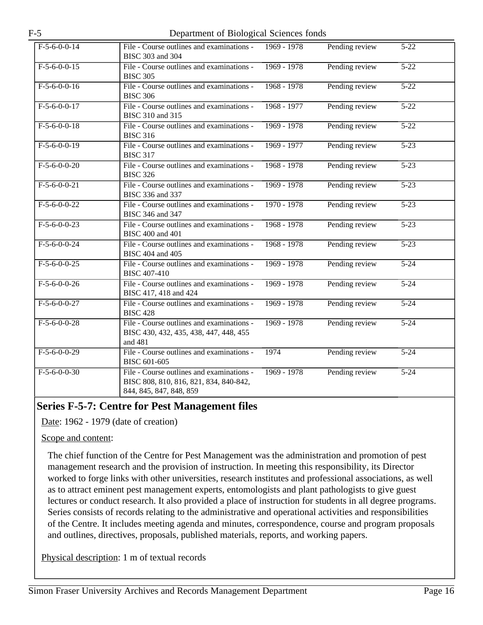| $F-5-6-0-0-14$ | File - Course outlines and examinations - 1969 - 1978<br>BISC 303 and 304                                      |               | Pending review | $5 - 22$          |
|----------------|----------------------------------------------------------------------------------------------------------------|---------------|----------------|-------------------|
| $F-5-6-0-0-15$ | File - Course outlines and examinations -<br><b>BISC 305</b>                                                   | $1969 - 1978$ | Pending review | $5 - 22$          |
| $F-5-6-0-0-16$ | File - Course outlines and examinations -<br><b>BISC 306</b>                                                   | $1968 - 1978$ | Pending review | $5 - 22$          |
| $F-5-6-0-0-17$ | File - Course outlines and examinations -<br>BISC 310 and 315                                                  | $1968 - 1977$ | Pending review | $5 - 22$          |
| $F-5-6-0-0-18$ | File - Course outlines and examinations -<br><b>BISC 316</b>                                                   | 1969 - 1978   | Pending review | $5 - 22$          |
| $F-5-6-0-0-19$ | File - Course outlines and examinations -<br><b>BISC 317</b>                                                   | 1969 - 1977   | Pending review | $\overline{5-23}$ |
| $F-5-6-0-0-20$ | File - Course outlines and examinations -<br><b>BISC 326</b>                                                   | $1968 - 1978$ | Pending review | $\overline{5-23}$ |
| $F-5-6-0-0-21$ | File - Course outlines and examinations -<br>BISC 336 and 337                                                  | 1969 - 1978   | Pending review | $5 - 23$          |
| $F-5-6-0-0-22$ | File - Course outlines and examinations -<br>BISC 346 and 347                                                  | 1970 - 1978   | Pending review | $\overline{5-23}$ |
| $F-5-6-0-0-23$ | File - Course outlines and examinations -<br>BISC 400 and 401                                                  | 1968 - 1978   | Pending review | $5 - 23$          |
| $F-5-6-0-0-24$ | File - Course outlines and examinations -<br>BISC 404 and 405                                                  | $1968 - 1978$ | Pending review | $5 - 23$          |
| $F-5-6-0-0-25$ | File - Course outlines and examinations -<br><b>BISC 407-410</b>                                               | 1969 - 1978   | Pending review | $5 - 24$          |
| $F-5-6-0-0-26$ | File - Course outlines and examinations -<br>BISC 417, 418 and 424                                             | 1969 - 1978   | Pending review | $5 - 24$          |
| $F-5-6-0-0-27$ | File - Course outlines and examinations -<br><b>BISC 428</b>                                                   | $1969 - 1978$ | Pending review | $5 - 24$          |
| $F-5-6-0-0-28$ | File - Course outlines and examinations -<br>BISC 430, 432, 435, 438, 447, 448, 455<br>and 481                 | 1969 - 1978   | Pending review | $5 - 24$          |
| $F-5-6-0-0-29$ | File - Course outlines and examinations -<br>BISC 601-605                                                      | 1974          | Pending review | $5 - 24$          |
| $F-5-6-0-0-30$ | File - Course outlines and examinations -<br>BISC 808, 810, 816, 821, 834, 840-842,<br>844, 845, 847, 848, 859 | 1969 - 1978   | Pending review | $5 - 24$          |

#### <span id="page-15-0"></span>**Series F-5-7: Centre for Pest Management files**

Date: 1962 - 1979 (date of creation)

#### Scope and content:

The chief function of the Centre for Pest Management was the administration and promotion of pest management research and the provision of instruction. In meeting this responsibility, its Director worked to forge links with other universities, research institutes and professional associations, as well as to attract eminent pest management experts, entomologists and plant pathologists to give guest lectures or conduct research. It also provided a place of instruction for students in all degree programs. Series consists of records relating to the administrative and operational activities and responsibilities of the Centre. It includes meeting agenda and minutes, correspondence, course and program proposals and outlines, directives, proposals, published materials, reports, and working papers.

Physical description: 1 m of textual records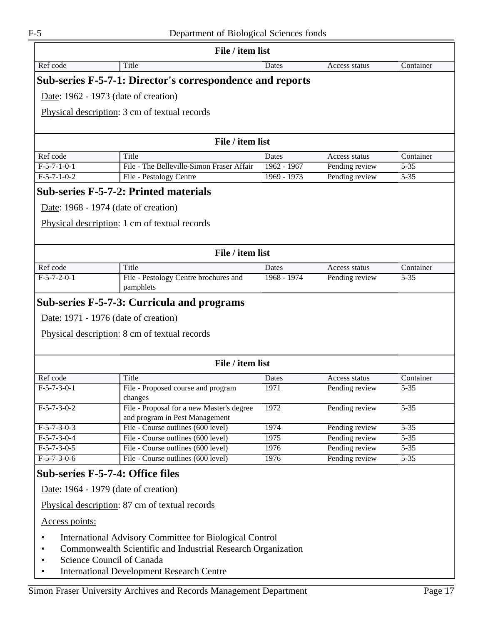| File / item list                                                                                                                                                                                                                                                                                                                     |                                                                             |               |                |           |
|--------------------------------------------------------------------------------------------------------------------------------------------------------------------------------------------------------------------------------------------------------------------------------------------------------------------------------------|-----------------------------------------------------------------------------|---------------|----------------|-----------|
| Ref code                                                                                                                                                                                                                                                                                                                             | Title                                                                       | Dates         | Access status  | Container |
|                                                                                                                                                                                                                                                                                                                                      | Sub-series F-5-7-1: Director's correspondence and reports                   |               |                |           |
| Date: 1962 - 1973 (date of creation)                                                                                                                                                                                                                                                                                                 |                                                                             |               |                |           |
|                                                                                                                                                                                                                                                                                                                                      | Physical description: 3 cm of textual records                               |               |                |           |
|                                                                                                                                                                                                                                                                                                                                      |                                                                             |               |                |           |
|                                                                                                                                                                                                                                                                                                                                      | File / item list                                                            |               |                |           |
| Ref code                                                                                                                                                                                                                                                                                                                             | Title                                                                       | Dates         | Access status  | Container |
| $F-5-7-1-0-1$                                                                                                                                                                                                                                                                                                                        | File - The Belleville-Simon Fraser Affair                                   | 1962 - 1967   | Pending review | $5 - 35$  |
| $F-5-7-1-0-2$                                                                                                                                                                                                                                                                                                                        | File - Pestology Centre                                                     | 1969 - 1973   | Pending review | $5 - 35$  |
|                                                                                                                                                                                                                                                                                                                                      | <b>Sub-series F-5-7-2: Printed materials</b>                                |               |                |           |
| Date: 1968 - 1974 (date of creation)                                                                                                                                                                                                                                                                                                 |                                                                             |               |                |           |
|                                                                                                                                                                                                                                                                                                                                      | Physical description: 1 cm of textual records                               |               |                |           |
|                                                                                                                                                                                                                                                                                                                                      |                                                                             |               |                |           |
|                                                                                                                                                                                                                                                                                                                                      | File / item list                                                            |               |                |           |
| Ref code                                                                                                                                                                                                                                                                                                                             | Title                                                                       | Dates         | Access status  | Container |
| $F-5-7-2-0-1$                                                                                                                                                                                                                                                                                                                        | File - Pestology Centre brochures and<br>pamphlets                          | $1968 - 1974$ | Pending review | $5 - 35$  |
|                                                                                                                                                                                                                                                                                                                                      | Physical description: 8 cm of textual records                               |               |                |           |
|                                                                                                                                                                                                                                                                                                                                      | File / item list                                                            |               |                |           |
| Ref code                                                                                                                                                                                                                                                                                                                             | Title                                                                       | Dates         | Access status  | Container |
| $F-5-7-3-0-1$                                                                                                                                                                                                                                                                                                                        | File - Proposed course and program<br>changes                               | 1971          | Pending review | $5 - 35$  |
| $F-5-7-3-0-2$                                                                                                                                                                                                                                                                                                                        | File - Proposal for a new Master's degree<br>and program in Pest Management | 1972          | Pending review | $5 - 35$  |
| $F-5-7-3-0-3$                                                                                                                                                                                                                                                                                                                        | File - Course outlines (600 level)                                          | 1974          | Pending review | $5 - 35$  |
| $F-5-7-3-0-4$                                                                                                                                                                                                                                                                                                                        | File - Course outlines (600 level)                                          | 1975          | Pending review | $5 - 35$  |
| $F-5-7-3-0-5$                                                                                                                                                                                                                                                                                                                        | File - Course outlines (600 level)                                          | 1976          | Pending review | $5 - 35$  |
| $F-5-7-3-0-6$                                                                                                                                                                                                                                                                                                                        | File - Course outlines (600 level)                                          | 1976          | Pending review | $5 - 35$  |
| <b>Sub-series F-5-7-4: Office files</b><br>Date: 1964 - 1979 (date of creation)<br>Physical description: 87 cm of textual records<br><u>Access points:</u><br>International Advisory Committee for Biological Control<br>٠<br>Commonwealth Scientific and Industrial Research Organization<br>$\bullet$<br>Science Council of Canada |                                                                             |               |                |           |
| International Development Pesearch Centre                                                                                                                                                                                                                                                                                            |                                                                             |               |                |           |

• International Development Research Centre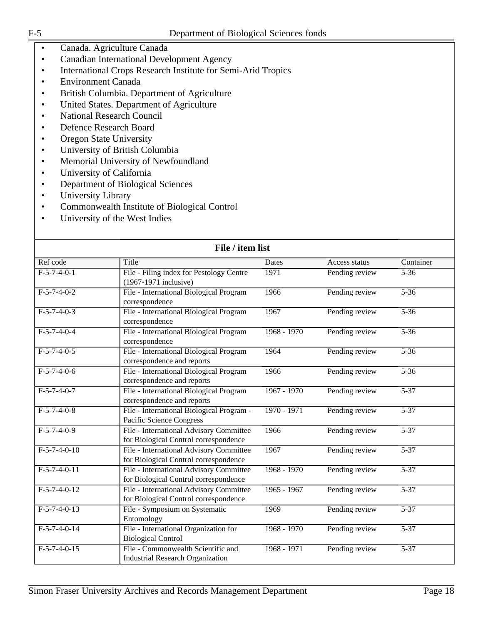- - Canada. Agriculture Canada
	- Canadian International Development Agency
	- International Crops Research Institute for Semi-Arid Tropics
	- Environment Canada
	- British Columbia. Department of Agriculture
	- United States. Department of Agriculture
	- National Research Council
	- Defence Research Board
	- Oregon State University
	- University of British Columbia
	- Memorial University of Newfoundland
	- University of California
	- Department of Biological Sciences
	- University Library
	- Commonwealth Institute of Biological Control
	- University of the West Indies

| File / item list |                                                                                  |               |                |                   |
|------------------|----------------------------------------------------------------------------------|---------------|----------------|-------------------|
| Ref code         | Title                                                                            | <b>Dates</b>  | Access status  | Container         |
| $F-5-7-4-0-1$    | File - Filing index for Pestology Centre<br>$(1967-1971$ inclusive)              | 1971          | Pending review | $5 - 36$          |
| $F-5-7-4-0-2$    | File - International Biological Program<br>correspondence                        | 1966          | Pending review | $5 - 36$          |
| $F-5-7-4-0-3$    | File - International Biological Program<br>correspondence                        | 1967          | Pending review | $5 - 36$          |
| $F-5-7-4-0-4$    | File - International Biological Program<br>correspondence                        | $1968 - 1970$ | Pending review | $\overline{5-36}$ |
| $F-5-7-4-0-5$    | File - International Biological Program<br>correspondence and reports            | 1964          | Pending review | $5 - 36$          |
| $F-5-7-4-0-6$    | File - International Biological Program<br>correspondence and reports            | 1966          | Pending review | $5 - 36$          |
| $F-5-7-4-0-7$    | File - International Biological Program<br>correspondence and reports            | $1967 - 1970$ | Pending review | $5 - 37$          |
| $F-5-7-4-0-8$    | File - International Biological Program -<br>Pacific Science Congress            | $1970 - 1971$ | Pending review | $5 - 37$          |
| $F-5-7-4-0-9$    | File - International Advisory Committee<br>for Biological Control correspondence | 1966          | Pending review | $\overline{5-37}$ |
| $F-5-7-4-0-10$   | File - International Advisory Committee<br>for Biological Control correspondence | 1967          | Pending review | $5 - 37$          |
| $F-5-7-4-0-11$   | File - International Advisory Committee<br>for Biological Control correspondence | $1968 - 1970$ | Pending review | $5 - 37$          |
| $F-5-7-4-0-12$   | File - International Advisory Committee<br>for Biological Control correspondence | $1965 - 1967$ | Pending review | $\overline{5-37}$ |
| $F-5-7-4-0-13$   | File - Symposium on Systematic<br>Entomology                                     | 1969          | Pending review | $5 - 37$          |
| $F-5-7-4-0-14$   | File - International Organization for<br><b>Biological Control</b>               | $1968 - 1970$ | Pending review | $5 - 37$          |
| $F-5-7-4-0-15$   | File - Commonwealth Scientific and<br><b>Industrial Research Organization</b>    | $1968 - 1971$ | Pending review | $\overline{5-37}$ |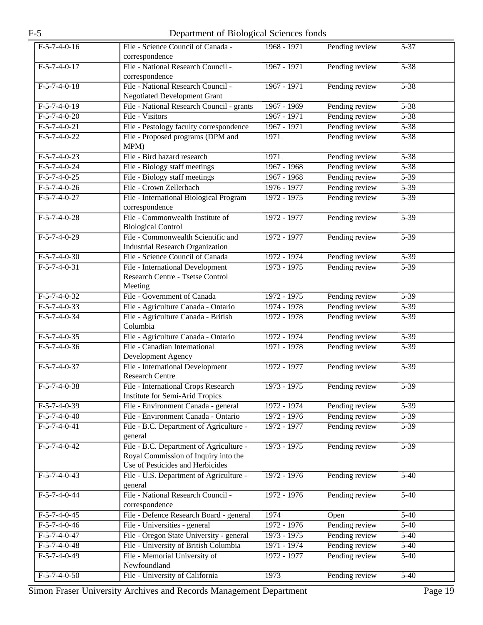| $F-5-7-4-0-16$ | File - Science Council of Canada -                                        | $1968 - 1971$ | Pending review | $5 - 37$          |
|----------------|---------------------------------------------------------------------------|---------------|----------------|-------------------|
|                | correspondence                                                            |               |                |                   |
| $F-5-7-4-0-17$ | File - National Research Council -<br>correspondence                      | 1967 - 1971   | Pending review | $5 - 38$          |
| $F-5-7-4-0-18$ | File - National Research Council -<br><b>Negotiated Development Grant</b> | $1967 - 1971$ | Pending review | $5 - 38$          |
| $F-5-7-4-0-19$ | File - National Research Council - grants                                 | $1967 - 1969$ | Pending review | $5 - 38$          |
| $F-5-7-4-0-20$ | File - Visitors                                                           | 1967 - 1971   | Pending review | $5 - 38$          |
| $F-5-7-4-0-21$ | File - Pestology faculty correspondence                                   | $1967 - 1971$ | Pending review | $5 - 38$          |
| $F-5-7-4-0-22$ | File - Proposed programs (DPM and                                         | 1971          | Pending review | $5 - 38$          |
|                | MPM)                                                                      |               |                |                   |
| $F-5-7-4-0-23$ | File - Bird hazard research                                               | 1971          | Pending review | $5 - 38$          |
| $F-5-7-4-0-24$ | File - Biology staff meetings                                             | $1967 - 1968$ | Pending review | $5 - 38$          |
| $F-5-7-4-0-25$ | File - Biology staff meetings                                             | $1967 - 1968$ | Pending review | $5 - 39$          |
| $F-5-7-4-0-26$ | File - Crown Zellerbach                                                   | 1976 - 1977   | Pending review | $5 - 39$          |
| $F-5-7-4-0-27$ | File - International Biological Program                                   | 1972 - 1975   | Pending review | $\overline{5-39}$ |
|                | correspondence                                                            |               |                |                   |
| $F-5-7-4-0-28$ | File - Commonwealth Institute of                                          | 1972 - 1977   | Pending review | $\overline{5-39}$ |
|                | <b>Biological Control</b>                                                 |               |                |                   |
| $F-5-7-4-0-29$ | File - Commonwealth Scientific and                                        | 1972 - 1977   | Pending review | $5 - 39$          |
|                | <b>Industrial Research Organization</b>                                   |               |                |                   |
| $F-5-7-4-0-30$ | File - Science Council of Canada                                          | 1972 - 1974   | Pending review | $5 - 39$          |
|                |                                                                           |               |                |                   |
| $F-5-7-4-0-31$ | File - International Development                                          | 1973 - 1975   | Pending review | $\overline{5-39}$ |
|                | Research Centre - Tsetse Control                                          |               |                |                   |
|                | Meeting                                                                   |               |                |                   |
| $F-5-7-4-0-32$ | File - Government of Canada                                               | 1972 - 1975   | Pending review | $5 - 39$          |
| $F-5-7-4-0-33$ | File - Agriculture Canada - Ontario                                       | 1974 - 1978   | Pending review | $\overline{5-39}$ |
| $F-5-7-4-0-34$ | File - Agriculture Canada - British                                       | 1972 - 1978   | Pending review | $5 - 39$          |
|                | Columbia                                                                  |               |                |                   |
| $F-5-7-4-0-35$ | File - Agriculture Canada - Ontario                                       | 1972 - 1974   | Pending review | $5 - 39$          |
| $F-5-7-4-0-36$ | File - Canadian International                                             | 1971 - 1978   | Pending review | $5 - 39$          |
|                | Development Agency                                                        |               |                |                   |
| $F-5-7-4-0-37$ | File - International Development                                          | 1972 - 1977   | Pending review | $5 - 39$          |
|                | <b>Research Centre</b>                                                    |               |                |                   |
| $F-5-7-4-0-38$ | File - International Crops Research                                       | $1973 - 1975$ | Pending review | $5 - 39$          |
|                | Institute for Semi-Arid Tropics                                           |               |                |                   |
| $F-5-7-4-0-39$ | File - Environment Canada - general                                       | 1972 - 1974   | Pending review | $5 - 39$          |
| $F-5-7-4-0-40$ | File - Environment Canada - Ontario                                       | $1972 - 1976$ | Pending review | $5 - 39$          |
| $F-5-7-4-0-41$ |                                                                           | 1972 - 1977   | Pending review | $5 - 39$          |
|                | File - B.C. Department of Agriculture -                                   |               |                |                   |
|                | general                                                                   |               |                |                   |
| $F-5-7-4-0-42$ | File - B.C. Department of Agriculture -                                   | $1973 - 1975$ | Pending review | $5 - 39$          |
|                | Royal Commission of Inquiry into the                                      |               |                |                   |
|                | Use of Pesticides and Herbicides                                          |               |                |                   |
| $F-5-7-4-0-43$ | File - U.S. Department of Agriculture -                                   | $1972 - 1976$ | Pending review | $5 - 40$          |
|                | general                                                                   |               |                |                   |
| $F-5-7-4-0-44$ | File - National Research Council -                                        | $1972 - 1976$ | Pending review | $\overline{5-40}$ |
|                | correspondence                                                            |               |                |                   |
| $F-5-7-4-0-45$ | File - Defence Research Board - general                                   | 1974          | Open           | $5-40$            |
| $F-5-7-4-0-46$ | File - Universities - general                                             | 1972 - 1976   | Pending review | $5-40$            |
| $F-5-7-4-0-47$ | File - Oregon State University - general                                  | 1973 - 1975   | Pending review | $5-40$            |
| $F-5-7-4-0-48$ | File - University of British Columbia                                     | 1971 - 1974   | Pending review | $5-40$            |
| $F-5-7-4-0-49$ | File - Memorial University of                                             | 1972 - 1977   | Pending review | $5-40$            |
|                | Newfoundland                                                              |               |                |                   |
| $F-5-7-4-0-50$ | File - University of California                                           | 1973          | Pending review | $5-40$            |
|                |                                                                           |               |                |                   |

Simon Fraser University Archives and Records Management Department Page 19